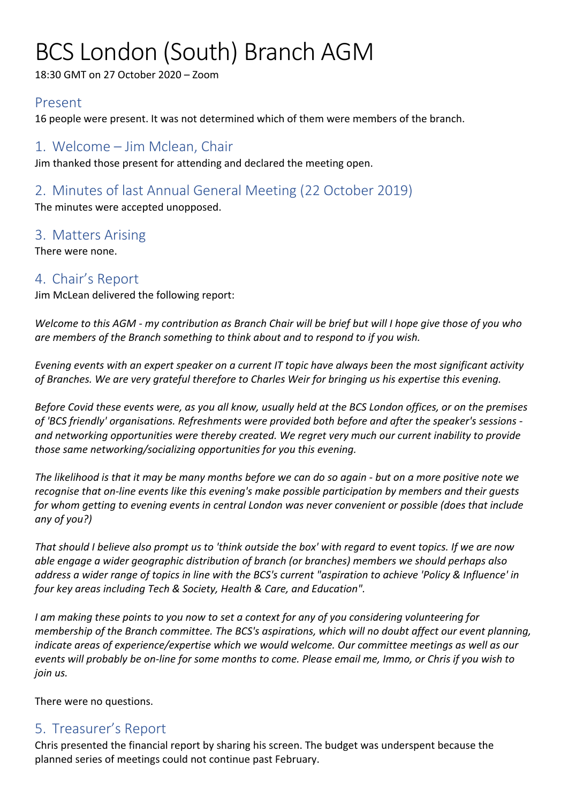# BCS London (South) Branch AGM

18:30 GMT on 27 October 2020 – Zoom

#### Present

16 people were present. It was not determined which of them were members of the branch.

### 1. Welcome – Jim Mclean, Chair

Jim thanked those present for attending and declared the meeting open.

### 2. Minutes of last Annual General Meeting (22 October 2019)

The minutes were accepted unopposed.

#### 3. Matters Arising

There were none.

#### 4. Chair's Report

Jim McLean delivered the following report:

*Welcome to this AGM - my contribution as Branch Chair will be brief but will I hope give those of you who are members of the Branch something to think about and to respond to if you wish.*

*Evening events with an expert speaker on a current IT topic have always been the most significant activity of Branches. We are very grateful therefore to Charles Weir for bringing us his expertise this evening.*

*Before Covid these events were, as you all know, usually held at the BCS London offices, or on the premises of 'BCS friendly' organisations. Refreshments were provided both before and after the speaker's sessions and networking opportunities were thereby created. We regret very much our current inability to provide those same networking/socializing opportunities for you this evening.*

*The likelihood is that it may be many months before we can do so again - but on a more positive note we recognise that on-line events like this evening's make possible participation by members and their guests for whom getting to evening events in central London was never convenient or possible (does that include any of you?)*

*That should I believe also prompt us to 'think outside the box' with regard to event topics. If we are now able engage a wider geographic distribution of branch (or branches) members we should perhaps also address a wider range of topics in line with the BCS's current "aspiration to achieve 'Policy & Influence' in four key areas including Tech & Society, Health & Care, and Education".*

*I am making these points to you now to set a context for any of you considering volunteering for membership of the Branch committee. The BCS's aspirations, which will no doubt affect our event planning, indicate areas of experience/expertise which we would welcome. Our committee meetings as well as our events will probably be on-line for some months to come. Please email me, Immo, or Chris if you wish to join us.*

There were no questions.

## 5. Treasurer's Report

Chris presented the financial report by sharing his screen. The budget was underspent because the planned series of meetings could not continue past February.